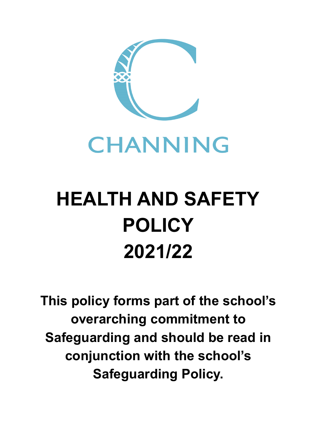



## **HEALTH AND SAFETY POLICY 2021/22**

**This policy forms part of the school's overarching commitment to Safeguarding and should be read in conjunction with the school's Safeguarding Policy.**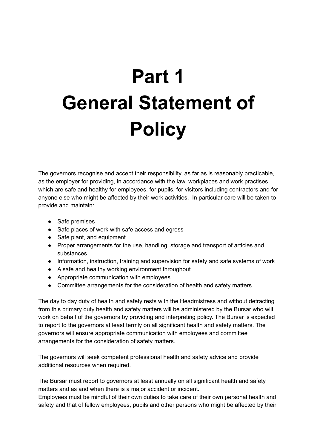# **Part 1 General Statement of Policy**

The governors recognise and accept their responsibility, as far as is reasonably practicable, as the employer for providing, in accordance with the law, workplaces and work practises which are safe and healthy for employees, for pupils, for visitors including contractors and for anyone else who might be affected by their work activities. In particular care will be taken to provide and maintain:

- Safe premises
- Safe places of work with safe access and egress
- Safe plant, and equipment
- Proper arrangements for the use, handling, storage and transport of articles and substances
- Information, instruction, training and supervision for safety and safe systems of work
- A safe and healthy working environment throughout
- Appropriate communication with employees
- Committee arrangements for the consideration of health and safety matters.

The day to day duty of health and safety rests with the Headmistress and without detracting from this primary duty health and safety matters will be administered by the Bursar who will work on behalf of the governors by providing and interpreting policy. The Bursar is expected to report to the governors at least termly on all significant health and safety matters. The governors will ensure appropriate communication with employees and committee arrangements for the consideration of safety matters.

The governors will seek competent professional health and safety advice and provide additional resources when required.

The Bursar must report to governors at least annually on all significant health and safety matters and as and when there is a major accident or incident.

Employees must be mindful of their own duties to take care of their own personal health and safety and that of fellow employees, pupils and other persons who might be affected by their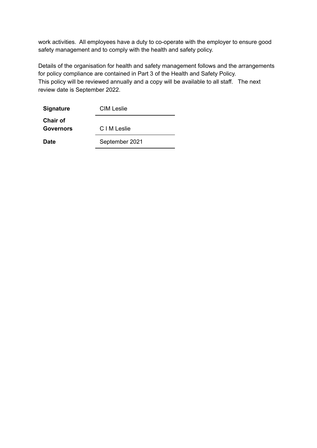work activities. All employees have a duty to co-operate with the employer to ensure good safety management and to comply with the health and safety policy.

Details of the organisation for health and safety management follows and the arrangements for policy compliance are contained in Part 3 of the Health and Safety Policy. This policy will be reviewed annually and a copy will be available to all staff. The next review date is September 2022.

| <b>Signature</b>                    | CIM Leslie     |
|-------------------------------------|----------------|
| <b>Chair of</b><br><b>Governors</b> | C I M Leslie   |
| <b>Date</b>                         | September 2021 |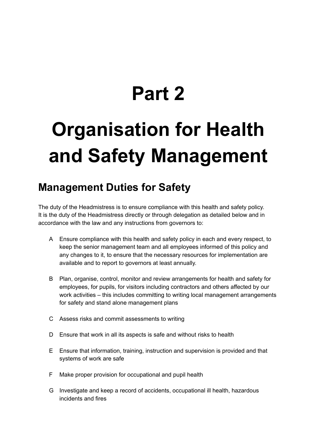### **Part 2**

### **Organisation for Health and Safety Management**

#### **Management Duties for Safety**

The duty of the Headmistress is to ensure compliance with this health and safety policy. It is the duty of the Headmistress directly or through delegation as detailed below and in accordance with the law and any instructions from governors to:

- A Ensure compliance with this health and safety policy in each and every respect, to keep the senior management team and all employees informed of this policy and any changes to it, to ensure that the necessary resources for implementation are available and to report to governors at least annually.
- B Plan, organise, control, monitor and review arrangements for health and safety for employees, for pupils, for visitors including contractors and others affected by our work activities – this includes committing to writing local management arrangements for safety and stand alone management plans
- C Assess risks and commit assessments to writing
- D Ensure that work in all its aspects is safe and without risks to health
- E Ensure that information, training, instruction and supervision is provided and that systems of work are safe
- F Make proper provision for occupational and pupil health
- G Investigate and keep a record of accidents, occupational ill health, hazardous incidents and fires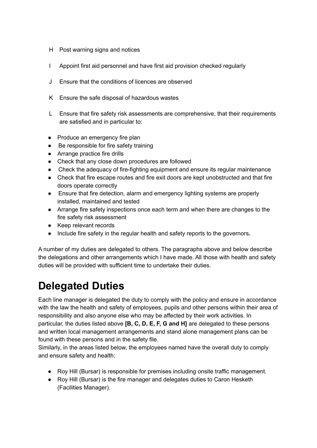- H Post warning signs and notices
- I Appoint first aid personnel and have first aid provision checked regularly
- J Ensure that the conditions of licences are observed
- K Ensure the safe disposal of hazardous wastes
- L Ensure that fire safety risk assessments are comprehensive, that their requirements are satisfied and in particular to:
- Produce an emergency fire plan
- Be responsible for fire safety training
- Arrange practice fire drills
- Check that any close down procedures are followed
- Check the adequacy of fire-fighting equipment and ensure its regular maintenance
- Check that fire escape routes and fire exit doors are kept unobstructed and that fire doors operate correctly
- Ensure that fire detection, alarm and emergency lighting systems are properly installed, maintained and tested
- Arrange fire safety inspections once each term and when there are changes to the fire safety risk assessment
- Keep relevant records
- Include fire safety in the regular health and safety reports to the governors**.**

A number of my duties are delegated to others. The paragraphs above and below describe the delegations and other arrangements which I have made. All those with health and safety duties will be provided with sufficient time to undertake their duties.

#### **Delegated Duties**

Each line manager is delegated the duty to comply with the policy and ensure in accordance with the law the health and safety of employees, pupils and other persons within their area of responsibility and also anyone else who may be affected by their work activities. In particular, the duties listed above **[B, C, D, E, F, G and H]** are delegated to these persons and written local management arrangements and stand alone management plans can be found with these persons and in the safety file.

Similarly, in the areas listed below, the employees named have the overall duty to comply and ensure safety and health:

- Roy Hill (Bursar) is responsible for premises including onsite traffic management.
- Roy Hill (Bursar) is the fire manager and delegates duties to Caron Hesketh (Facilities Manager).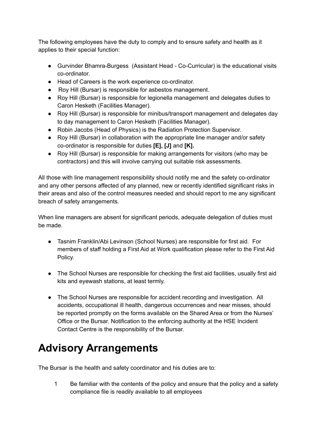The following employees have the duty to comply and to ensure safety and health as it applies to their special function:

- Gurvinder Bhamra-Burgess (Assistant Head Co-Curricular) is the educational visits co-ordinator.
- Head of Careers is the work experience co-ordinator.
- Roy Hill (Bursar) is responsible for asbestos management.
- Roy Hill (Bursar) is responsible for legionella management and delegates duties to Caron Hesketh (Facilities Manager).
- Roy Hill (Bursar) is responsible for minibus/transport management and delegates day to day management to Caron Hesketh (Facilities Manager).
- Robin Jacobs (Head of Physics) is the Radiation Protection Supervisor.
- Roy Hill (Bursar) in collaboration with the appropriate line manager and/or safety co-ordinator is responsible for duties **[E], [J]** and **[K].**
- Roy Hill (Bursar) is responsible for making arrangements for visitors (who may be contractors) and this will involve carrying out suitable risk assessments.

All those with line management responsibility should notify me and the safety co-ordinator and any other persons affected of any planned, new or recently identified significant risks in their areas and also of the control measures needed and should report to me any significant breach of safety arrangements.

When line managers are absent for significant periods, adequate delegation of duties must be made.

- Tasnim Franklin/Abi Levinson (School Nurses) are responsible for first aid. For members of staff holding a First Aid at Work qualification please refer to the First Aid Policy.
- The School Nurses are responsible for checking the first aid facilities, usually first aid kits and eyewash stations, at least termly.
- The School Nurses are responsible for accident recording and investigation. All accidents, occupational ill health, dangerous occurrences and near misses, should be reported promptly on the forms available on the Shared Area or from the Nurses' Office or the Bursar. Notification to the enforcing authority at the HSE Incident Contact Centre is the responsibility of the Bursar.

#### **Advisory Arrangements**

The Bursar is the health and safety coordinator and his duties are to:

1 Be familiar with the contents of the policy and ensure that the policy and a safety compliance file is readily available to all employees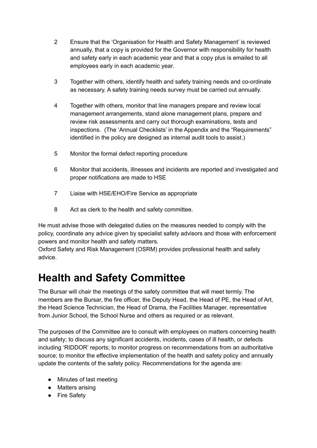- 2 Ensure that the 'Organisation for Health and Safety Management' is reviewed annually, that a copy is provided for the Governor with responsibility for health and safety early in each academic year and that a copy plus is emailed to all employees early in each academic year.
- 3 Together with others, identify health and safety training needs and co-ordinate as necessary. A safety training needs survey must be carried out annually.
- 4 Together with others, monitor that line managers prepare and review local management arrangements, stand alone management plans, prepare and review risk assessments and carry out thorough examinations, tests and inspections. (The 'Annual Checklists' in the Appendix and the "Requirements" identified in the policy are designed as internal audit tools to assist.)
- 5 Monitor the formal defect reporting procedure
- 6 Monitor that accidents, illnesses and incidents are reported and investigated and proper notifications are made to HSE
- 7 Liaise with HSE/EHO/Fire Service as appropriate
- 8 Act as clerk to the health and safety committee.

He must advise those with delegated duties on the measures needed to comply with the policy, coordinate any advice given by specialist safety advisors and those with enforcement powers and monitor health and safety matters.

Oxford Safety and Risk Management (OSRM) provides professional health and safety advice.

#### **Health and Safety Committee**

The Bursar will chair the meetings of the safety committee that will meet termly. The members are the Bursar, the fire officer, the Deputy Head, the Head of PE, the Head of Art, the Head Science Technician, the Head of Drama, the Facilities Manager, representative from Junior School, the School Nurse and others as required or as relevant.

The purposes of the Committee are to consult with employees on matters concerning health and safety; to discuss any significant accidents, incidents, cases of ill health, or defects including 'RIDDOR' reports; to monitor progress on recommendations from an authoritative source; to monitor the effective implementation of the health and safety policy and annually update the contents of the safety policy. Recommendations for the agenda are:

- Minutes of last meeting
- Matters arising
- Fire Safety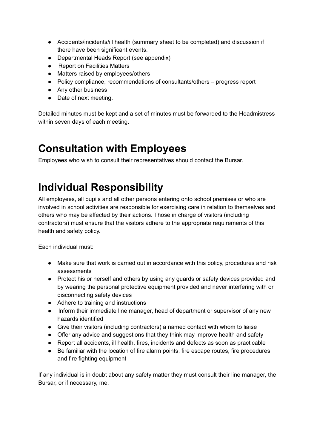- Accidents/incidents/ill health (summary sheet to be completed) and discussion if there have been significant events.
- Departmental Heads Report (see appendix)
- Report on Facilities Matters
- Matters raised by employees/others
- Policy compliance, recommendations of consultants/others progress report
- Any other business
- Date of next meeting.

Detailed minutes must be kept and a set of minutes must be forwarded to the Headmistress within seven days of each meeting.

#### **Consultation with Employees**

Employees who wish to consult their representatives should contact the Bursar.

#### **Individual Responsibility**

All employees, all pupils and all other persons entering onto school premises or who are involved in school activities are responsible for exercising care in relation to themselves and others who may be affected by their actions. Those in charge of visitors (including contractors) must ensure that the visitors adhere to the appropriate requirements of this health and safety policy.

Each individual must:

- Make sure that work is carried out in accordance with this policy, procedures and risk assessments
- Protect his or herself and others by using any guards or safety devices provided and by wearing the personal protective equipment provided and never interfering with or disconnecting safety devices
- Adhere to training and instructions
- Inform their immediate line manager, head of department or supervisor of any new hazards identified
- Give their visitors (including contractors) a named contact with whom to liaise
- Offer any advice and suggestions that they think may improve health and safety
- Report all accidents, ill health, fires, incidents and defects as soon as practicable
- Be familiar with the location of fire alarm points, fire escape routes, fire procedures and fire fighting equipment

If any individual is in doubt about any safety matter they must consult their line manager, the Bursar, or if necessary, me.